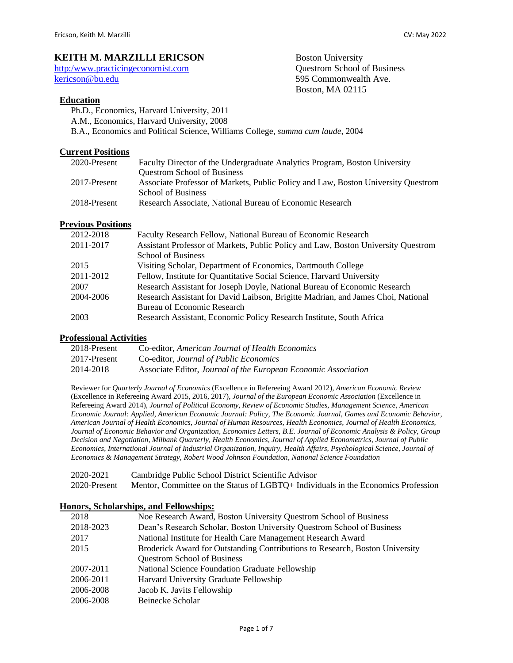# **KEITH M. MARZILLI ERICSON** Boston University

[http:/w](http://people.bu.edu/kericson/)ww.practicingeconomist.com Questrom School of Business [kericson@bu.edu](mailto:kericson@bu.edu) 595 Commonwealth Ave.

## **Education**

- Ph.D., Economics, Harvard University, 2011
- A.M., Economics, Harvard University, 2008

B.A., Economics and Political Science, Williams College, *summa cum laude*, 2004

## **Current Positions**

| 2020-Present | Faculty Director of the Undergraduate Analytics Program, Boston University        |
|--------------|-----------------------------------------------------------------------------------|
|              | <b>Questrom School of Business</b>                                                |
| 2017-Present | Associate Professor of Markets, Public Policy and Law, Boston University Questrom |
|              | <b>School of Business</b>                                                         |
| 2018-Present | Research Associate, National Bureau of Economic Research                          |
|              |                                                                                   |

Boston, MA 02115

## **Previous Positions**

| 2012-2018 | Faculty Research Fellow, National Bureau of Economic Research                     |
|-----------|-----------------------------------------------------------------------------------|
| 2011-2017 | Assistant Professor of Markets, Public Policy and Law, Boston University Questrom |
|           | <b>School of Business</b>                                                         |
| 2015      | Visiting Scholar, Department of Economics, Dartmouth College                      |
| 2011-2012 | Fellow, Institute for Quantitative Social Science, Harvard University             |
| 2007      | Research Assistant for Joseph Doyle, National Bureau of Economic Research         |
| 2004-2006 | Research Assistant for David Laibson, Brigitte Madrian, and James Choi, National  |
|           | <b>Bureau of Economic Research</b>                                                |
| 2003      | Research Assistant, Economic Policy Research Institute, South Africa              |

## **Professional Activities**

| 2018-Present | Co-editor, American Journal of Health Economics                |
|--------------|----------------------------------------------------------------|
| 2017-Present | Co-editor, Journal of Public Economics                         |
| 2014-2018    | Associate Editor, Journal of the European Economic Association |

Reviewer for *Quarterly Journal of Economics* (Excellence in Refereeing Award 2012)*, American Economic Review* (Excellence in Refereeing Award 2015, 2016, 2017)*, Journal of the European Economic Association* (Excellence in Refereeing Award 2014)*, Journal of Political Economy, Review of Economic Studies, Management Science, American Economic Journal: Applied, American Economic Journal: Policy, The Economic Journal, Games and Economic Behavior, American Journal of Health Economics, Journal of Human Resources, Health Economics, Journal of Health Economics, Journal of Economic Behavior and Organization, Economics Letters, B.E. Journal of Economic Analysis & Policy, Group Decision and Negotiation, Milbank Quarterly, Health Economics, Journal of Applied Econometrics, Journal of Public Economics, International Journal of Industrial Organization, Inquiry, Health Affairs, Psychological Science, Journal of Economics & Management Strategy, Robert Wood Johnson Foundation*, *National Science Foundation*

2020-2021 Cambridge Public School District Scientific Advisor 2020-Present Mentor, Committee on the Status of LGBTQ+ Individuals in the Economics Profession

#### **Honors, Scholarships, and Fellowships:**

| 2018      | Noe Research Award, Boston University Questrom School of Business            |
|-----------|------------------------------------------------------------------------------|
| 2018-2023 | Dean's Research Scholar, Boston University Questrom School of Business       |
| 2017      | National Institute for Health Care Management Research Award                 |
| 2015      | Broderick Award for Outstanding Contributions to Research, Boston University |
|           | <b>Questrom School of Business</b>                                           |
| 2007-2011 | National Science Foundation Graduate Fellowship                              |
| 2006-2011 | Harvard University Graduate Fellowship                                       |
| 2006-2008 | Jacob K. Javits Fellowship                                                   |
| 2006-2008 | Beinecke Scholar                                                             |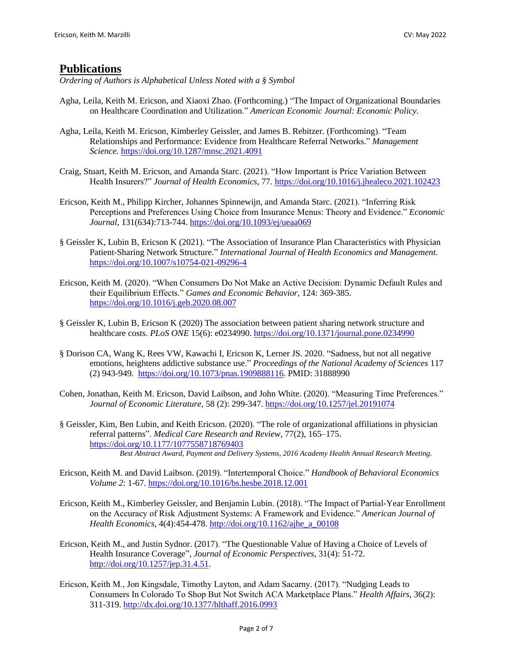# **Publications**

*Ordering of Authors is Alphabetical Unless Noted with a § Symbol*

- Agha, Leila, Keith M. Ericson, and Xiaoxi Zhao. (Forthcoming.) "The Impact of Organizational Boundaries on Healthcare Coordination and Utilization." *American Economic Journal: Economic Policy.*
- Agha, Leila, Keith M. Ericson, Kimberley Geissler, and James B. Rebitzer. (Forthcoming). "Team Relationships and Performance: Evidence from Healthcare Referral Networks." *Management Science.* <https://doi.org/10.1287/mnsc.2021.4091>
- Craig, Stuart, Keith M. Ericson, and Amanda Starc. (2021). "How Important is Price Variation Between Health Insurers?" *Journal of Health Economics,* 77*.* <https://doi.org/10.1016/j.jhealeco.2021.102423>
- Ericson, Keith M., Philipp Kircher, Johannes Spinnewijn, and Amanda Starc. (2021). "Inferring Risk Perceptions and Preferences Using Choice from Insurance Menus: Theory and Evidence." *Economic Journal*, 131(634):713-744[. https://doi.org/10.1093/ej/ueaa069](https://doi.org/10.1093/ej/ueaa069)
- § Geissler K, Lubin B, Ericson K (2021). "The Association of Insurance Plan Characteristics with Physician Patient-Sharing Network Structure." *International Journal of Health Economics and Management.* <https://doi.org/10.1007/s10754-021-09296-4>
- Ericson, Keith M. (2020). "When Consumers Do Not Make an Active Decision: Dynamic Default Rules and their Equilibrium Effects." *Games and Economic Behavior*, 124: 369-385. <https://doi.org/10.1016/j.geb.2020.08.007>
- § Geissler K, Lubin B, Ericson K (2020) The association between patient sharing network structure and healthcare costs. *PLoS ONE* 15(6): e0234990.<https://doi.org/10.1371/journal.pone.0234990>
- § Dorison CA, Wang K, Rees VW, Kawachi I, Ericson K, Lerner JS. 2020. "Sadness, but not all negative emotions, heightens addictive substance use." *Proceedings of the National Academy of Sciences* 117 (2) 943-949*.* [https://doi.org/10.1073/pnas.1909888116.](https://doi.org/10.1073/pnas.1909888116) PMID: 31888990
- Cohen, Jonathan, Keith M. Ericson, David Laibson, and John White. (2020). "Measuring Time Preferences." *Journal of Economic Literature,* 58 (2): 299-347. <https://doi.org/10.1257/jel.20191074>
- § Geissler, Kim, Ben Lubin, and Keith Ericson. (2020). "The role of organizational affiliations in physician referral patterns". *Medical Care Research and Review*, 77(2), 165–175. <https://doi.org/10.1177/1077558718769403> *Best Abstract Award, Payment and Delivery Systems, 2016 Academy Health Annual Research Meeting.*
- Ericson, Keith M. and David Laibson. (2019). "Intertemporal Choice." *Handbook of Behavioral Economics Volume 2*: 1-67.<https://doi.org/10.1016/bs.hesbe.2018.12.001>
- Ericson, Keith M., Kimberley Geissler, and Benjamin Lubin. (2018). "The Impact of Partial-Year Enrollment on the Accuracy of Risk Adjustment Systems: A Framework and Evidence." *American Journal of Health Economics*, 4(4):454-478. [http://doi.org/10.1162/ajhe\\_a\\_00108](http://doi.org/10.1162/ajhe_a_00108)
- Ericson, Keith M., and Justin Sydnor. (2017). "The Questionable Value of Having a Choice of Levels of Health Insurance Coverage"*, Journal of Economic Perspectives*, 31(4): 51-72. [http://doi.org/10.1257/jep.31.4.51.](http://doi.org/10.1257/jep.31.4.51)
- Ericson, Keith M., Jon Kingsdale, Timothy Layton, and Adam Sacarny. (2017). "Nudging Leads to Consumers In Colorado To Shop But Not Switch ACA Marketplace Plans." *Health Affairs,* 36(2): 311-319.<http://dx.doi.org/10.1377/hlthaff.2016.0993>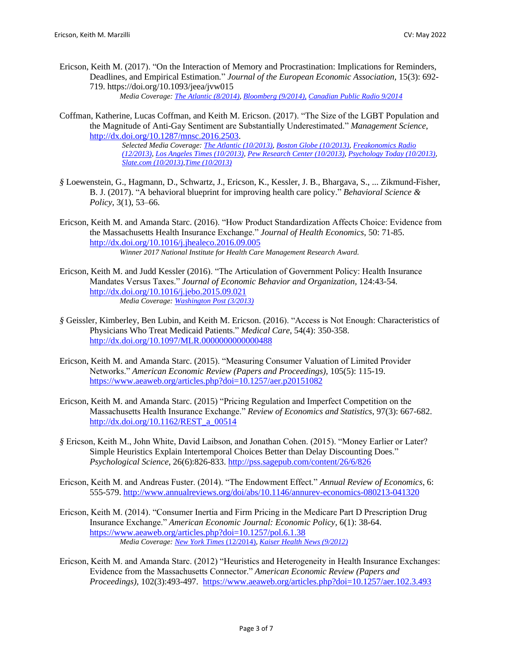- Ericson, Keith M. (2017). "On the Interaction of Memory and Procrastination: Implications for Reminders, Deadlines, and Empirical Estimation*.*" *Journal of the European Economic Association,* 15(3): 692- 719. https://doi.org/10.1093/jeea/jvw015 *Media Coverage: [The Atlantic \(8/2014\),](http://www.theatlantic.com/business/archive/2014/08/the-procrastination-loop-and-how-to-break-it/379142/) [Bloomberg \(9/2014\),](http://www.bloomberg.com/news/2014-09-04/how-to-procrastinate-better.html) [Canadian Public Radio 9/2014](http://www.cbc.ca/radio/spark/spark-258-1.2848356/procrastination-and-reminders-1.2848361)*
- Coffman, Katherine, Lucas Coffman, and Keith M. Ericson. (2017). "The Size of the LGBT Population and the Magnitude of Anti-Gay Sentiment are Substantially Underestimated." *Management Science*, [http://dx.doi.org/10.1287/mnsc.2016.2503.](http://dx.doi.org/10.1287/mnsc.2016.2503)

*Selected Media Coverage: [The Atlantic \(10/2013\),](http://www.theatlantic.com/health/archive/2013/10/surveys-dramatically-underestimate-homophobia/280335/) [Boston Globe \(10/2013\),](http://www.bostonglobe.com/ideas/2013/10/19/sisters-make-boys-conservative/vgiZ4oHsw0DBh7oCH84nwK/story.html) [Freakonomics Radio](http://freakonomics.com/podcast/are-gay-men-really-rich-a-new-freakonomics-radio-podcast/)  [\(12/2013\),](http://freakonomics.com/podcast/are-gay-men-really-rich-a-new-freakonomics-radio-podcast/) Los Angeles [Times \(10/2013\),](http://www.latimes.com/science/sciencenow/la-sci-sn-surveys-underestimate-gay-population-antigay-feelings-20131010,0,2785656.story) [Pew Research Center \(10/2013\),](http://www.pewresearch.org/fact-tank/2013/10/09/study-polls-may-underestimate-anti-gay-sentiment-and-size-of-gay-lesbian-population/) [Psychology Today \(10/2013\),](https://www.psychologytoday.com/blog/dollars-and-sex/201310/homosexuality-is-more-prevalent-we-might-have-thought) [Slate.com \(10/2013\),](http://www.slate.com/blogs/outward/2013/10/11/anti_gay_feelings_new_studies_find_people_aren_t_as_gay_friendly_as_they.html)[Time \(10/2013\)](http://healthland.time.com/2013/10/07/social-attitudes-about-sexual-orientation-may-not-be-as-open-as-previously-thought/)*

- *§* Loewenstein, G., Hagmann, D., Schwartz, J., Ericson, K., Kessler, J. B., Bhargava, S., ... Zikmund-Fisher, B. J. (2017). "A behavioral blueprint for improving health care policy." *Behavioral Science & Policy*, 3(1), 53–66.
- Ericson, Keith M. and Amanda Starc. (2016). "How Product Standardization Affects Choice: Evidence from the Massachusetts Health Insurance Exchange." *Journal of Health Economics*, 50: 71-85. <http://dx.doi.org/10.1016/j.jhealeco.2016.09.005> *Winner 2017 National Institute for Health Care Management Research Award.*
- Ericson, Keith M. and Judd Kessler (2016). "The Articulation of Government Policy: Health Insurance Mandates Versus Taxes." *Journal of Economic Behavior and Organization,* 124:43-54. <http://dx.doi.org/10.1016/j.jebo.2015.09.021> *Media Coverage[: Washington Post \(3/2013\)](https://www.washingtonpost.com/news/wonk/wp/2013/03/25/its-a-mandate-its-a-tax-how-word-choice-effects-obamacare-enrollment/)*
- *§* Geissler, Kimberley, Ben Lubin, and Keith M. Ericson. (2016). "Access is Not Enough: Characteristics of Physicians Who Treat Medicaid Patients." *Medical Care*, 54(4): 350-358. <http://dx.doi.org/10.1097/MLR.0000000000000488>
- Ericson, Keith M. and Amanda Starc. (2015). "Measuring Consumer Valuation of Limited Provider Networks." *American Economic Review (Papers and Proceedings),* 105(5): 115-19. <https://www.aeaweb.org/articles.php?doi=10.1257/aer.p20151082>
- Ericson, Keith M. and Amanda Starc. (2015) "Pricing Regulation and Imperfect Competition on the Massachusetts Health Insurance Exchange." *Review of Economics and Statistics*, 97(3): 667-682. [http://dx.doi.org/10.1162/REST\\_a\\_00514](http://dx.doi.org/10.1162/REST_a_00514)
- *§* Ericson, Keith M., John White, David Laibson, and Jonathan Cohen. (2015). "Money Earlier or Later? Simple Heuristics Explain Intertemporal Choices Better than Delay Discounting Does." *Psychological Science*, 26(6):826-833.<http://pss.sagepub.com/content/26/6/826>
- Ericson, Keith M. and Andreas Fuster. (2014). "The Endowment Effect." *Annual Review of Economics,* 6: 555-579. <http://www.annualreviews.org/doi/abs/10.1146/annurev-economics-080213-041320>
- Ericson, Keith M. (2014). "Consumer Inertia and Firm Pricing in the Medicare Part D Prescription Drug Insurance Exchange." *American Economic Journal: Economic Policy*, 6(1): 38-64. <https://www.aeaweb.org/articles.php?doi=10.1257/pol.6.1.38> *Media Coverage[: New York Times](http://nyti.ms/1GhKkwd)* (12/2014)*, [Kaiser Health News \(9/2012\)](http://khn.org/news/how-is-your-medicare-drug-plan-like-your-cable-company/)*
- Ericson, Keith M. and Amanda Starc. (2012) "Heuristics and Heterogeneity in Health Insurance Exchanges: Evidence from the Massachusetts Connector." *American Economic Review (Papers and Proceedings),* 102(3):493-497.<https://www.aeaweb.org/articles.php?doi=10.1257/aer.102.3.493>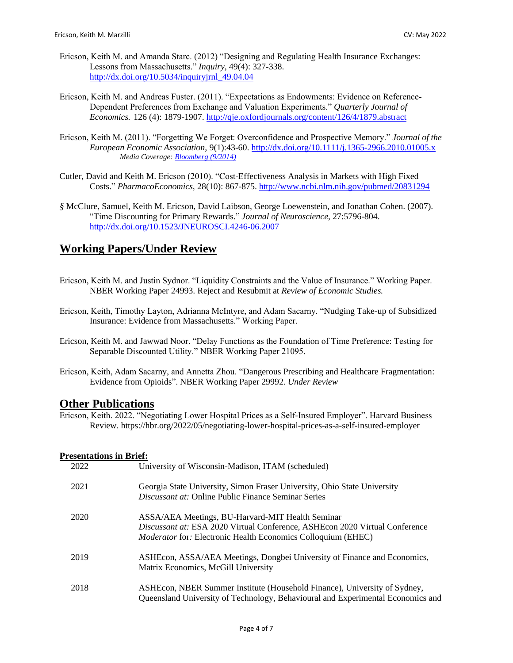- Ericson, Keith M. and Amanda Starc. (2012) "Designing and Regulating Health Insurance Exchanges: Lessons from Massachusetts." *Inquiry,* 49(4): 327-338. [http://dx.doi.org/10.5034/inquiryjrnl\\_49.04.04](http://dx.doi.org/10.5034/inquiryjrnl_49.04.04)
- Ericson, Keith M. and Andreas Fuster. (2011). "Expectations as Endowments: Evidence on Reference-Dependent Preferences from Exchange and Valuation Experiments." *Quarterly Journal of Economics.* 126 (4): 1879-1907.<http://qje.oxfordjournals.org/content/126/4/1879.abstract>
- Ericson, Keith M. (2011). "Forgetting We Forget: Overconfidence and Prospective Memory." *Journal of the European Economic Association,* 9(1):43-60.<http://dx.doi.org/10.1111/j.1365-2966.2010.01005.x> *Media Coverage[: Bloomberg \(9/2014\)](http://www.bloomberg.com/news/2014-09-04/how-to-procrastinate-better.html)*
- Cutler, David and Keith M. Ericson (2010). "Cost-Effectiveness Analysis in Markets with High Fixed Costs." *PharmacoEconomics,* 28(10): 867-875. <http://www.ncbi.nlm.nih.gov/pubmed/20831294>
- *§* McClure, Samuel, Keith M. Ericson, David Laibson, George Loewenstein, and Jonathan Cohen. (2007). "Time Discounting for Primary Rewards." *Journal of Neuroscience*, 27:5796-804. <http://dx.doi.org/10.1523/JNEUROSCI.4246-06.2007>

# **Working Papers/Under Review**

- Ericson, Keith M. and Justin Sydnor. "Liquidity Constraints and the Value of Insurance." Working Paper. NBER Working Paper 24993. Reject and Resubmit at *Review of Economic Studies.*
- Ericson, Keith, Timothy Layton, Adrianna McIntyre, and Adam Sacarny. "Nudging Take-up of Subsidized Insurance: Evidence from Massachusetts." Working Paper.
- Ericson, Keith M. and Jawwad Noor. "Delay Functions as the Foundation of Time Preference: Testing for Separable Discounted Utility." NBER Working Paper 21095.
- Ericson, Keith, Adam Sacarny, and Annetta Zhou. "Dangerous Prescribing and Healthcare Fragmentation: Evidence from Opioids". NBER Working Paper 29992. *Under Review*

# **Other Publications**

Ericson, Keith. 2022. "Negotiating Lower Hospital Prices as a Self-Insured Employer". Harvard Business Review. https://hbr.org/2022/05/negotiating-lower-hospital-prices-as-a-self-insured-employer

# **Presentations in Brief:**

| 2022 | University of Wisconsin-Madison, ITAM (scheduled)                                                                                                                                                      |
|------|--------------------------------------------------------------------------------------------------------------------------------------------------------------------------------------------------------|
| 2021 | Georgia State University, Simon Fraser University, Ohio State University<br><i>Discussant at:</i> Online Public Finance Seminar Series                                                                 |
| 2020 | ASSA/AEA Meetings, BU-Harvard-MIT Health Seminar<br>Discussant at: ESA 2020 Virtual Conference, ASHEcon 2020 Virtual Conference<br><i>Moderator</i> for: Electronic Health Economics Colloquium (EHEC) |
| 2019 | ASHEcon, ASSA/AEA Meetings, Dongbei University of Finance and Economics,<br>Matrix Economics, McGill University                                                                                        |
| 2018 | ASHEcon, NBER Summer Institute (Household Finance), University of Sydney,<br>Queensland University of Technology, Behavioural and Experimental Economics and                                           |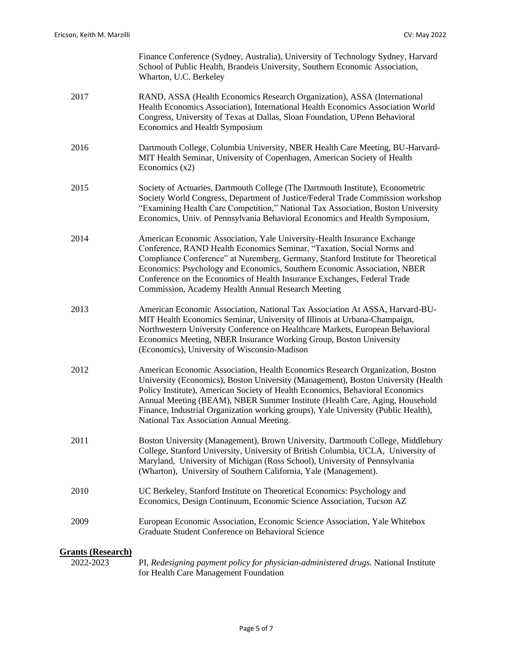|                                       | Finance Conference (Sydney, Australia), University of Technology Sydney, Harvard<br>School of Public Health, Brandeis University, Southern Economic Association,<br>Wharton, U.C. Berkeley                                                                                                                                                                                                                                                                           |
|---------------------------------------|----------------------------------------------------------------------------------------------------------------------------------------------------------------------------------------------------------------------------------------------------------------------------------------------------------------------------------------------------------------------------------------------------------------------------------------------------------------------|
| 2017                                  | RAND, ASSA (Health Economics Research Organization), ASSA (International<br>Health Economics Association), International Health Economics Association World<br>Congress, University of Texas at Dallas, Sloan Foundation, UPenn Behavioral<br>Economics and Health Symposium                                                                                                                                                                                         |
| 2016                                  | Dartmouth College, Columbia University, NBER Health Care Meeting, BU-Harvard-<br>MIT Health Seminar, University of Copenhagen, American Society of Health<br>Economics $(x2)$                                                                                                                                                                                                                                                                                        |
| 2015                                  | Society of Actuaries, Dartmouth College (The Dartmouth Institute), Econometric<br>Society World Congress, Department of Justice/Federal Trade Commission workshop<br>"Examining Health Care Competition," National Tax Association, Boston University<br>Economics, Univ. of Pennsylvania Behavioral Economics and Health Symposium.                                                                                                                                 |
| 2014                                  | American Economic Association, Yale University-Health Insurance Exchange<br>Conference, RAND Health Economics Seminar, "Taxation, Social Norms and<br>Compliance Conference" at Nuremberg, Germany, Stanford Institute for Theoretical<br>Economics: Psychology and Economics, Southern Economic Association, NBER<br>Conference on the Economics of Health Insurance Exchanges, Federal Trade<br>Commission, Academy Health Annual Research Meeting                 |
| 2013                                  | American Economic Association, National Tax Association At ASSA, Harvard-BU-<br>MIT Health Economics Seminar, University of Illinois at Urbana-Champaign,<br>Northwestern University Conference on Healthcare Markets, European Behavioral<br>Economics Meeting, NBER Insurance Working Group, Boston University<br>(Economics), University of Wisconsin-Madison                                                                                                     |
| 2012                                  | American Economic Association, Health Economics Research Organization, Boston<br>University (Economics), Boston University (Management), Boston University (Health<br>Policy Institute), American Society of Health Economics, Behavioral Economics<br>Annual Meeting (BEAM), NBER Summer Institute (Health Care, Aging, Household<br>Finance, Industrial Organization working groups), Yale University (Public Health),<br>National Tax Association Annual Meeting. |
| 2011                                  | Boston University (Management), Brown University, Dartmouth College, Middlebury<br>College, Stanford University, University of British Columbia, UCLA, University of<br>Maryland, University of Michigan (Ross School), University of Pennsylvania<br>(Wharton), University of Southern California, Yale (Management).                                                                                                                                               |
| 2010                                  | UC Berkeley, Stanford Institute on Theoretical Economics: Psychology and<br>Economics, Design Continuum, Economic Science Association, Tucson AZ                                                                                                                                                                                                                                                                                                                     |
| 2009                                  | European Economic Association, Economic Science Association, Yale Whitebox<br>Graduate Student Conference on Behavioral Science                                                                                                                                                                                                                                                                                                                                      |
| <b>Grants (Research)</b><br>2022-2023 | PI, Redesigning payment policy for physician-administered drugs. National Institute<br>for Health Care Management Foundation                                                                                                                                                                                                                                                                                                                                         |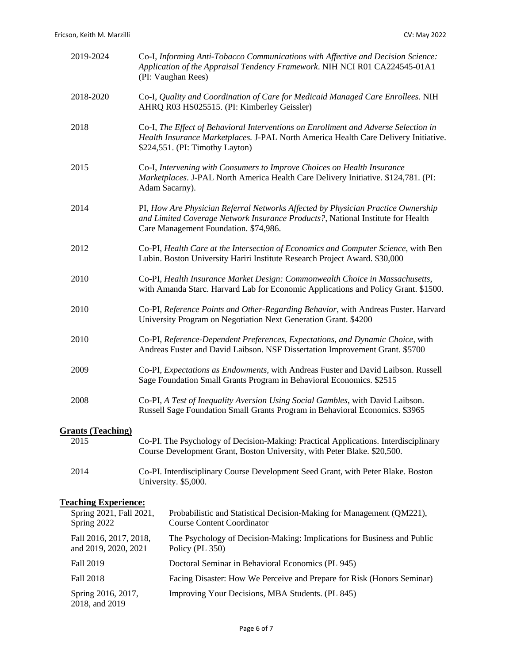2018, and 2019

|                    | 2019-2024                                                                                                          |  | Co-I, Informing Anti-Tobacco Communications with Affective and Decision Science:<br>Application of the Appraisal Tendency Framework. NIH NCI R01 CA224545-01A1<br>(PI: Vaughan Rees)                          |
|--------------------|--------------------------------------------------------------------------------------------------------------------|--|---------------------------------------------------------------------------------------------------------------------------------------------------------------------------------------------------------------|
|                    | 2018-2020                                                                                                          |  | Co-I, Quality and Coordination of Care for Medicaid Managed Care Enrollees. NIH<br>AHRQ R03 HS025515. (PI: Kimberley Geissler)                                                                                |
|                    | 2018                                                                                                               |  | Co-I, The Effect of Behavioral Interventions on Enrollment and Adverse Selection in<br>Health Insurance Marketplaces. J-PAL North America Health Care Delivery Initiative.<br>\$224,551. (PI: Timothy Layton) |
|                    | 2015                                                                                                               |  | Co-I, Intervening with Consumers to Improve Choices on Health Insurance<br>Marketplaces. J-PAL North America Health Care Delivery Initiative. \$124,781. (PI:<br>Adam Sacarny).                               |
|                    | 2014                                                                                                               |  | PI, How Are Physician Referral Networks Affected by Physician Practice Ownership<br>and Limited Coverage Network Insurance Products?, National Institute for Health<br>Care Management Foundation. \$74,986.  |
|                    | 2012                                                                                                               |  | Co-PI, Health Care at the Intersection of Economics and Computer Science, with Ben<br>Lubin. Boston University Hariri Institute Research Project Award. \$30,000                                              |
|                    | 2010                                                                                                               |  | Co-PI, Health Insurance Market Design: Commonwealth Choice in Massachusetts,<br>with Amanda Starc. Harvard Lab for Economic Applications and Policy Grant. \$1500.                                            |
|                    | 2010                                                                                                               |  | Co-PI, Reference Points and Other-Regarding Behavior, with Andreas Fuster. Harvard<br>University Program on Negotiation Next Generation Grant. \$4200                                                         |
|                    | 2010                                                                                                               |  | Co-PI, Reference-Dependent Preferences, Expectations, and Dynamic Choice, with<br>Andreas Fuster and David Laibson. NSF Dissertation Improvement Grant. \$5700                                                |
|                    | 2009                                                                                                               |  | Co-PI, Expectations as Endowments, with Andreas Fuster and David Laibson. Russell<br>Sage Foundation Small Grants Program in Behavioral Economics. \$2515                                                     |
|                    | 2008                                                                                                               |  | Co-PI, A Test of Inequality Aversion Using Social Gambles, with David Laibson.<br>Russell Sage Foundation Small Grants Program in Behavioral Economics. \$3965                                                |
|                    | <b>Grants (Teaching)</b>                                                                                           |  |                                                                                                                                                                                                               |
|                    | 2015                                                                                                               |  | Co-PI. The Psychology of Decision-Making: Practical Applications. Interdisciplinary<br>Course Development Grant, Boston University, with Peter Blake. \$20,500.                                               |
| 2014               |                                                                                                                    |  | Co-PI. Interdisciplinary Course Development Seed Grant, with Peter Blake. Boston<br>University. \$5,000.                                                                                                      |
|                    | <b>Teaching Experience:</b>                                                                                        |  |                                                                                                                                                                                                               |
|                    | Spring 2021, Fall 2021,<br>Spring 2022<br>Fall 2016, 2017, 2018,<br>and 2019, 2020, 2021<br>Fall 2019<br>Fall 2018 |  | Probabilistic and Statistical Decision-Making for Management (QM221),<br><b>Course Content Coordinator</b>                                                                                                    |
|                    |                                                                                                                    |  | The Psychology of Decision-Making: Implications for Business and Public<br>Policy (PL 350)                                                                                                                    |
|                    |                                                                                                                    |  | Doctoral Seminar in Behavioral Economics (PL 945)                                                                                                                                                             |
|                    |                                                                                                                    |  | Facing Disaster: How We Perceive and Prepare for Risk (Honors Seminar)                                                                                                                                        |
| Spring 2016, 2017, |                                                                                                                    |  | Improving Your Decisions, MBA Students. (PL 845)                                                                                                                                                              |